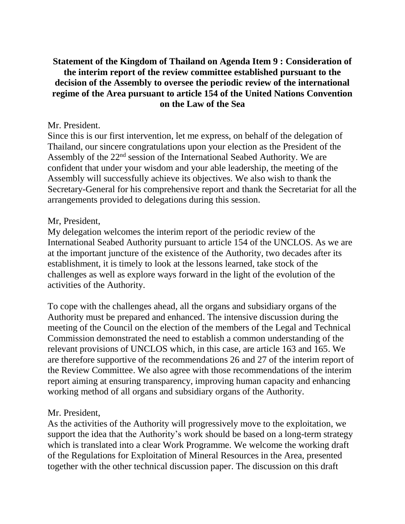# **Statement of the Kingdom of Thailand on Agenda Item 9 : Consideration of the interim report of the review committee established pursuant to the decision of the Assembly to oversee the periodic review of the international regime of the Area pursuant to article 154 of the United Nations Convention on the Law of the Sea**

#### Mr. President.

Since this is our first intervention, let me express, on behalf of the delegation of Thailand, our sincere congratulations upon your election as the President of the Assembly of the 22nd session of the International Seabed Authority. We are confident that under your wisdom and your able leadership, the meeting of the Assembly will successfully achieve its objectives. We also wish to thank the Secretary-General for his comprehensive report and thank the Secretariat for all the arrangements provided to delegations during this session.

#### Mr, President,

My delegation welcomes the interim report of the periodic review of the International Seabed Authority pursuant to article 154 of the UNCLOS. As we are at the important juncture of the existence of the Authority, two decades after its establishment, it is timely to look at the lessons learned, take stock of the challenges as well as explore ways forward in the light of the evolution of the activities of the Authority.

To cope with the challenges ahead, all the organs and subsidiary organs of the Authority must be prepared and enhanced. The intensive discussion during the meeting of the Council on the election of the members of the Legal and Technical Commission demonstrated the need to establish a common understanding of the relevant provisions of UNCLOS which, in this case, are article 163 and 165. We are therefore supportive of the recommendations 26 and 27 of the interim report of the Review Committee. We also agree with those recommendations of the interim report aiming at ensuring transparency, improving human capacity and enhancing working method of all organs and subsidiary organs of the Authority.

### Mr. President,

As the activities of the Authority will progressively move to the exploitation, we support the idea that the Authority's work should be based on a long-term strategy which is translated into a clear Work Programme. We welcome the working draft of the Regulations for Exploitation of Mineral Resources in the Area, presented together with the other technical discussion paper. The discussion on this draft